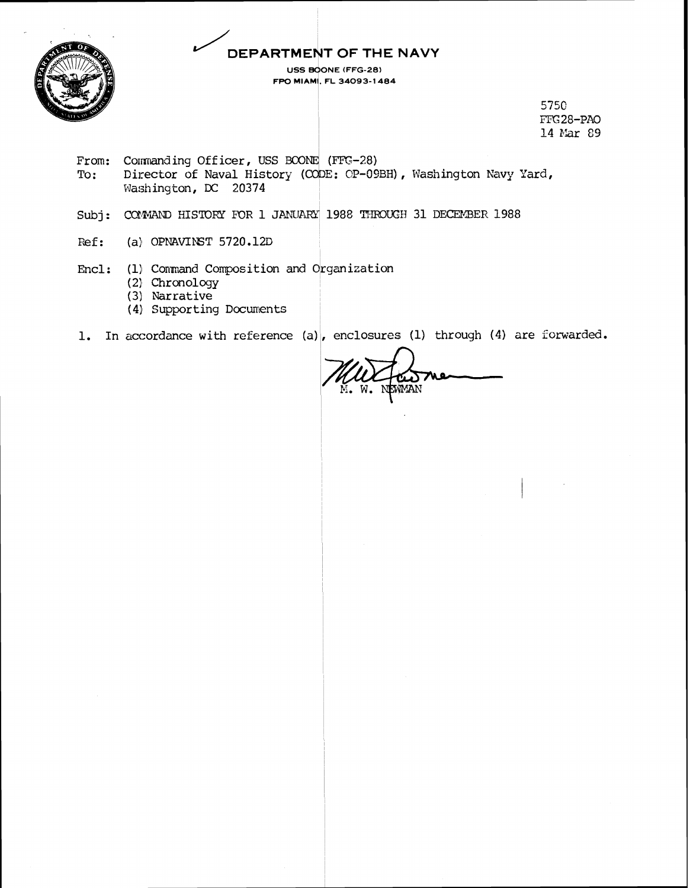### DEPARTMENT OF THE NAVY USS BOONE (FFG-28)

FPO MIAMI, FL 34093-1484



5750 FFG28-PAO 14 Mar 89

- From: Commanding Officer, USS BCONE (FFG-28) Director of Naval History (CODE: CP-09BH), Washington Navy Yard, To: Washington, DC 20374
- Subj: COMMAND HISTORY FOR 1 JANUARY 1988 THROUGH 31 DECEMBER 1988
- Ref: (a) OPNAVINST  $5720.12D$
- Encl: (1) Command Composition and Organization
	- (2) Chronology
	- $(3)$  Narrative
	- (4) Supporting Documents
- 1. In accordance with reference (a), enclosures (1) through (4) are forwarded.

NEWMAN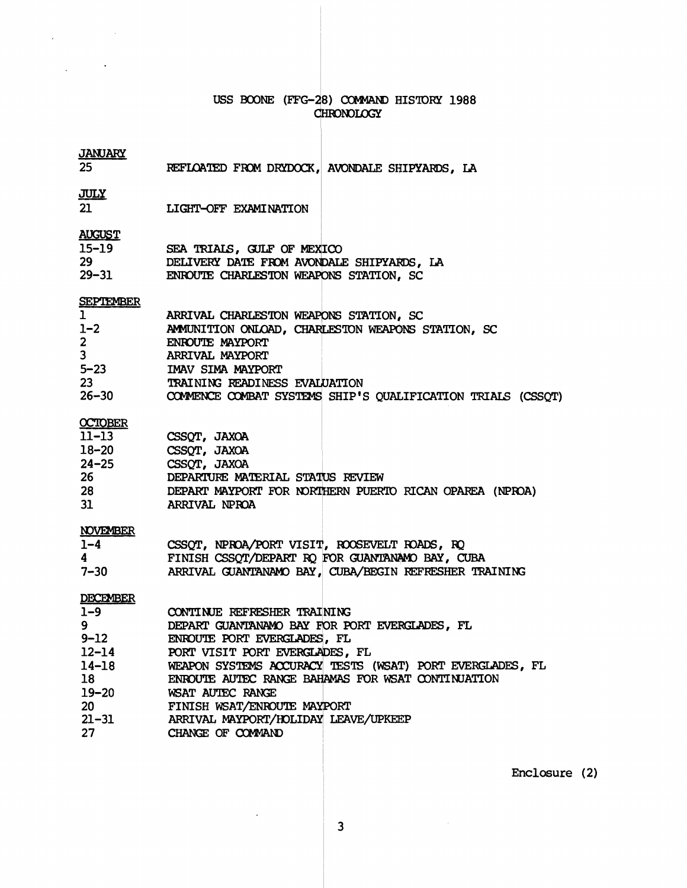## USS BOONE (FFG-28) COMMAND HISTORY 1988 CHRONOLOGY

## **JANUARY**

|  |  | 25 | REFLOATED FROM DRYDOCK, AVONDALE SHIPYARDS, LA |  |  |  |  |  |  |
|--|--|----|------------------------------------------------|--|--|--|--|--|--|
|--|--|----|------------------------------------------------|--|--|--|--|--|--|

## **JULY**

 $\label{eq:2.1} \frac{1}{\sqrt{2\pi}}\int_{0}^{\infty}\frac{1}{\sqrt{2\pi}}\left(\frac{1}{\sqrt{2\pi}}\right)^{2\alpha}e^{-\frac{1}{2\alpha^2}}\frac{1}{\sqrt{2\pi}}\,.$ 

 $\overline{a}$ 

 $\mathcal{L}^{\text{max}}$  and  $\mathcal{L}^{\text{max}}$ 

 $\overline{21}$ LIGHT-OFF EXAMINATION

### **AUGUST**

| $15 - 19$ | SEA TRIALS, GULF OF MEXICO                |  |
|-----------|-------------------------------------------|--|
| 29        | DELIVERY DATE FROM AVONDALE SHIPYARDS, LA |  |
| $29 - 31$ | ENROUTE CHARLESTON WEAPONS STATION, SC    |  |

# **SEPTEMBER**

| $\mathbf{1}$   | ARRIVAL CHARLESTON WEAPONS STATION, SC                      |
|----------------|-------------------------------------------------------------|
| $1 - 2$        | AMMUNITION ONLOAD, CHARLESTON WEAPONS STATION, SC           |
| 2 <sup>7</sup> | ENROUTE MAYPORT                                             |
| 3 <sup>7</sup> | ARRIVAL MAYPORT                                             |
| $5 - 23$       | IMAV SIMA MAYPORT                                           |
| 23             | TRAINING READINESS EVALUATION                               |
| $26 - 30$      | COMMENCE COMBAT SYSTEMS SHIP'S QUALIFICATION TRIALS (CSSQT) |
|                |                                                             |

## **OCTOBER**

| 11–13     | CSSOT, JAXOA                                            |
|-----------|---------------------------------------------------------|
| 18–20     | CSSOT, JAXOA                                            |
| $24 - 25$ | CSSOT, JAXOA                                            |
| 26        | DEPARTURE MATERIAL STATUS REVIEW                        |
| 28        | DEPART MAYPORT FOR NORTHERN PUERTO RICAN OPAREA (NPROA) |
| 31        | ARRIVAL NPROA                                           |
|           |                                                         |

#### **NOVEMBER**

| $1 - 4$  | CSSQT, NPROA/PORT VISIT, ROOSEVELT ROADS, RQ          |
|----------|-------------------------------------------------------|
| 4        | FINISH CSSOT/DEPART RO FOR GUANTANAMO BAY, CUBA       |
| $7 - 30$ | ARRIVAL GUANTANAMO BAY, CUBA/BEGIN REFRESHER TRAINING |

#### **DECEMBER**

| $1 - 9$   | CONTINUE REFRESHER TRAINING                              |
|-----------|----------------------------------------------------------|
| 9         | DEPART GUANTANAMO BAY FOR PORT EVERGLADES, FL            |
| $9 - 12$  | ENROUTE PORT EVERGLADES, FL                              |
| $12 - 14$ | PORT VISIT PORT EVERGLADES, FL                           |
| $14 - 18$ | WEAPON SYSTEMS ACCURACY TESTS (WSAT) PORT EVERGLADES, FL |
| 18        | ENROUTE AUTEC RANGE BAHAMAS FOR WSAT CONTINUATION        |
| $19 - 20$ | WSAT AUTEC RANGE                                         |
| 20        | FINISH WSAT/ENROUTE MAYPORT                              |
| $21 - 31$ | ARRIVAL MAYPORT/HOLIDAY LEAVE/UPKEEP                     |
| 27        | CHANGE OF COMMAND                                        |

Enclosure (2)

 $\overline{\mathbf{3}}$ 

 $\ddot{\phantom{a}}$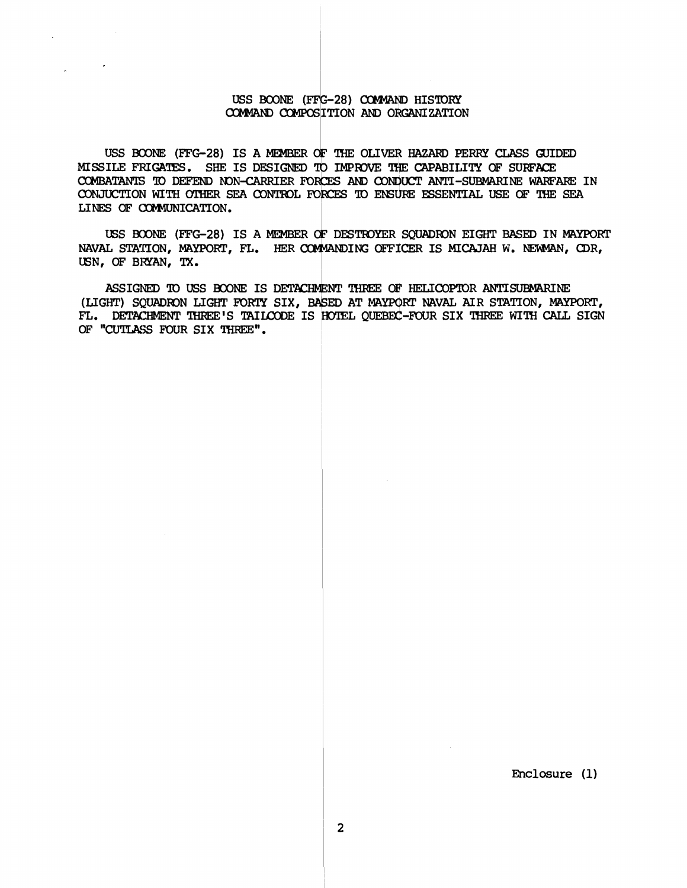#### USS BOONE (FFG-28) COMMAND HISTORY **COMMAND COMPOSITION AND ORGANIZATION**

 $\sim$   $\sim$ 

USS BOONE (FFG-28) IS A MEMBER OF THE OLIVER HAZARD PERRY CLASS GUIDED **MISSILE FRIGATES.** SHE IS DESIGNED TO IMPROVE THE CAPABILITY OF SURFACE COMBATANTS TO DEFEND NON-CARRIER FORCES AND CONDUCT ANTI-SUBMARINE WARFARE IN **CONJUCTION WITH OTHER SEA CONTROL FORCES TO ENSURE ESSENTIAL USE OF THE SEA LINES OF COMMUNICATION.** 

**USS HDNE (FFG-28) IS A MEMBER d? DESTIOYER SQUPSXIN EIGHT BASED IN MAYPORT NAVAL STATION, MAYPORT, FL. HER E@M?UWING OE'E'fiCER IS MICAJAH W. NEWMAN, Q)R, LEN, OF BRYAN, TX.** 

**ASSIGNED TO USS BOONE IS DETACHMENT THREE OF HELICOPTOR ANTISUBMARINE**<br>(LIGHT) SQUADRON LIGHT FORTY SIX, BASED AT MAYPORT NAVAL AIR STATION, MAYPORT,<br>T., DETACHMENT THREE'S TAILOODE IS HOTEL OUEBEC-FOUR SIX THREE WITH CAL FL. DETACHMENT THREE'S TAILCODE IS HOTEL QUEBEC-FOUR SIX THREE WITH CALL SIGN OF "CUTLASS FOUR SIX THREE".

**Enclosure (1)**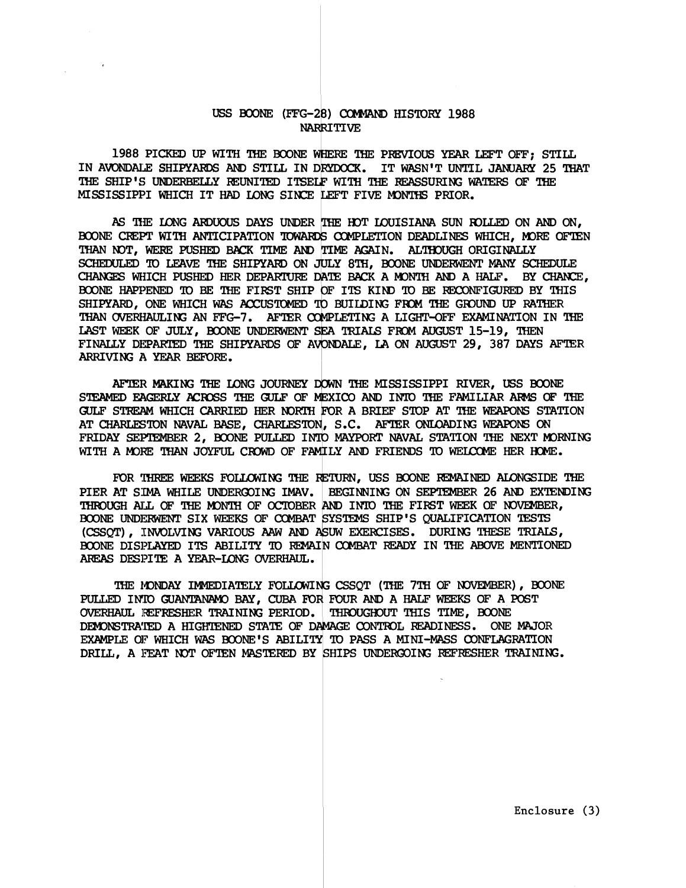#### USS BOONE (FFG-28) COMMAND HISTORY 1988 **NARRITIVE**

1988 PICKED UP WITH THE BOONE WHERE THE PREVIOUS YEAR LEFT OFF; STILL IN AVONDALE SHIPYARDS AND STILL IN DRYDOCK. IT WASN'T UNTIL JANUARY 25 THAT THE SHIP'S UNDERBELLY REUNITED ITSELF WITH THE REASSURING WATERS OF THE MISSISSIPPI WHICH IT HAD LONG SINCE LEFT FIVE MONTHS PRIOR.

AS THE LONG ARDUOUS DAYS UNDER THE HOT LOUISIANA SUN ROLLED ON AND ON, BOONE CREPT WITH ANTICIPATION TOWARDS COMPLETION DEADLINES WHICH, MORE OFTEN THAN NOT, WERE PUSHED BACK TIME AND TIME AGAIN. ALTHOUGH ORIGINALLY SCHEDULED TO LEAVE THE SHIPYARD ON JULY 8TH. BOONE UNDERWENT MANY SCHEDULE CHANGES WHICH PUSHED HER DEPARTURE DATE BACK A MONTH AND A HALF. BY CHANCE, BOONE HAPPENED TO BE THE FIRST SHIP OF ITS KIND TO BE RECONFIGURED BY THIS SHIPYARD, ONE WHICH WAS ACCUSTOMED TO BUILDING FROM THE GROUND UP RATHER THAN OVERHAULING AN FFG-7. AFTER COMPLETING A LIGHT-OFF EXAMINATION IN THE LAST WEEK OF JULY, BOONE UNDERWENT SEA TRIALS FROM AUGUST 15-19, THEN FINALLY DEPARTED THE SHIPYARDS OF AVONDALE, LA ON AUGUST 29, 387 DAYS AFTER ARRIVING A YEAR BEFORE.

AFTER MAKING THE LONG JOURNEY DOWN THE MISSISSIPPI RIVER, USS BOONE STEAMED EAGERLY ACROSS THE GULF OF MEXICO AND INTO THE FAMILIAR ARMS OF THE GULF STREAM WHICH CARRIED HER NORTH FOR A BRIEF STOP AT THE WEAPONS STATION AT CHARLESTON NAVAL BASE, CHARLESTON, S.C. AFTER ONLOADING WEAPONS ON FRIDAY SEPTEMBER 2, BOONE PULLED INTO MAYPORT NAVAL STATION THE NEXT MORNING WITH A MORE THAN JOYFUL CROWD OF FAMILY AND FRIENDS TO WELCOME HER HOME.

FOR THREE WEEKS FOLLOWING THE RETURN, USS BOONE REMAINED ALONGSIDE THE PIER AT SIMA WHILE UNDERGOING IMAV. | BEGINNING ON SEPTEMBER 26 AND EXTENDING THROUGH ALL OF THE MONTH OF OCTOBER AND INTO THE FIRST WEEK OF NOVEMBER, BOONE UNDERWENT SIX WEEKS OF COMBAT SYSTEMS SHIP'S QUALIFICATION TESTS (CSSOT), INVOLVING VARIOUS AAW AND ASUW EXERCISES. DURING THESE TRIALS, BOONE DISPLAYED ITS ABILITY TO REMAIN COMBAT READY IN THE ABOVE MENTIONED AREAS DESPITE A YEAR-LONG OVERHAUL.

THE MONDAY IMMEDIATELY FOLLOWING CSSOT (THE 7TH OF NOVEMBER), BOONE PULLED INTO GUANTANAMO BAY, CUBA FOR FOUR AND A HALF WEEKS OF A POST OVERHAUL REFRESHER TRAINING PERIOD. THROUGHOUT THIS TIME, BOONE DEMONSTRATED A HIGHTENED STATE OF DAMAGE CONTROL READINESS. ONE MAJOR EXAMPLE OF WHICH WAS BOONE'S ABILITY TO PASS A MINI-MASS CONFLAGRATION DRILL, A FEAT NOT OFTEN MASTERED BY SHIPS UNDERGOING REFRESHER TRAINING.

Enclosure (3)